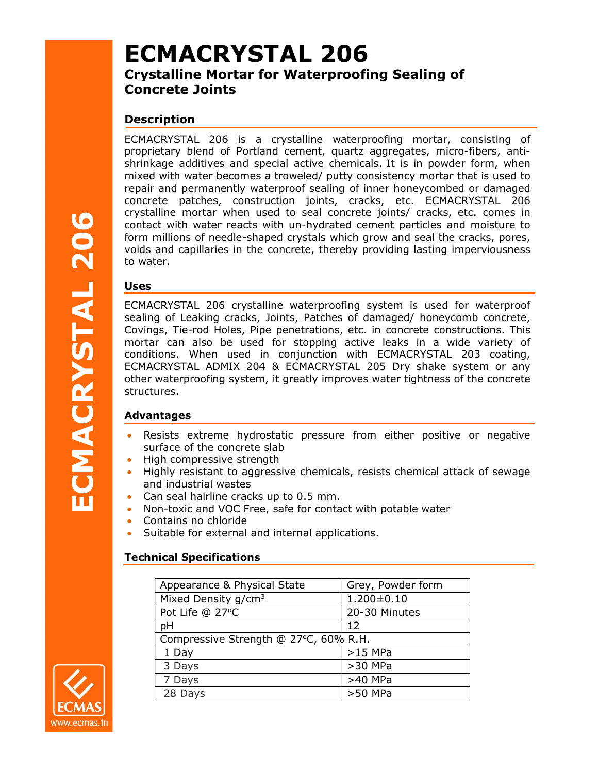# ECMACRYSTAL 206

# Crystalline Mortar for Waterproofing Sealing of Concrete Joints

# **Description**

ECMACRYSTAL 206 is a crystalline waterproofing mortar, consisting of proprietary blend of Portland cement, quartz aggregates, micro-fibers, antishrinkage additives and special active chemicals. It is in powder form, when mixed with water becomes a troweled/ putty consistency mortar that is used to repair and permanently waterproof sealing of inner honeycombed or damaged concrete patches, construction joints, cracks, etc. ECMACRYSTAL 206 crystalline mortar when used to seal concrete joints/ cracks, etc. comes in contact with water reacts with un-hydrated cement particles and moisture to form millions of needle-shaped crystals which grow and seal the cracks, pores, voids and capillaries in the concrete, thereby providing lasting imperviousness to water.

#### Uses

**Contract with water reacts with un-hydrocontact times and control form millions of needle-shaped crystal voids and capillaries in the concrete, it to water.<br>
<b>Uses**<br>
ECMACRYSTAL 206 crystalline water sealing of Leaking cr ECMACRYSTAL 206 crystalline waterproofing system is used for waterproof sealing of Leaking cracks, Joints, Patches of damaged/ honeycomb concrete, Covings, Tie-rod Holes, Pipe penetrations, etc. in concrete constructions. This mortar can also be used for stopping active leaks in a wide variety of conditions. When used in conjunction with ECMACRYSTAL 203 coating, ECMACRYSTAL ADMIX 204 & ECMACRYSTAL 205 Dry shake system or any other waterproofing system, it greatly improves water tightness of the concrete structures.

#### Advantages

- Resists extreme hydrostatic pressure from either positive or negative surface of the concrete slab
- High compressive strength
- Highly resistant to aggressive chemicals, resists chemical attack of sewage and industrial wastes
- Can seal hairline cracks up to 0.5 mm.
- Non-toxic and VOC Free, safe for contact with potable water
- Contains no chloride
- Suitable for external and internal applications.

# Technical Specifications

| Appearance & Physical State           | Grey, Powder form |
|---------------------------------------|-------------------|
| Mixed Density $g/cm3$                 | $1.200 \pm 0.10$  |
| Pot Life @ 27°C                       | 20-30 Minutes     |
| pH                                    | 12                |
| Compressive Strength @ 27°C, 60% R.H. |                   |
| 1 Day                                 | $>15$ MPa         |
| 3 Days                                | $>30$ MPa         |
| 7 Days                                | >40 MPa           |
| 28 Days                               | >50 MPa           |